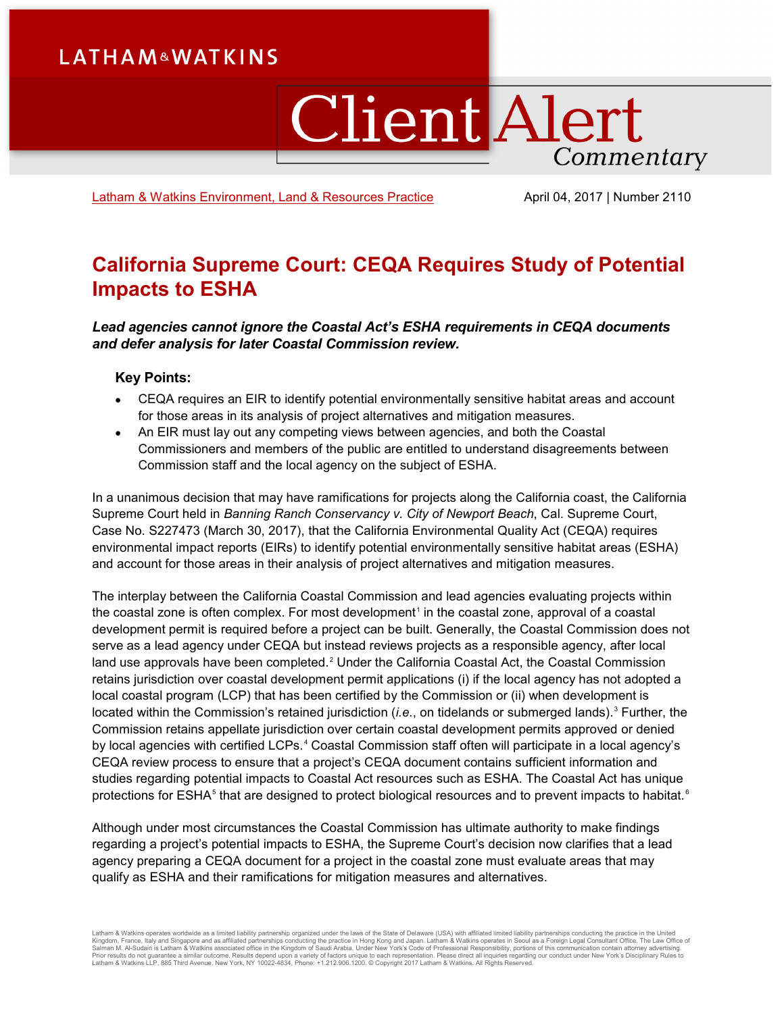# **LATHAM&WATKINS**

# ClientAlert Commentary

[Latham & Watkins Environment, Land & Resources](https://www.lw.com/practices/EnvironmentLandAndResources) Practice April 04, 2017 | Number 2110

# **California Supreme Court: CEQA Requires Study of Potential Impacts to ESHA**

*Lead agencies cannot ignore the Coastal Act's ESHA requirements in CEQA documents and defer analysis for later Coastal Commission review.*

#### **Key Points:**

- CEQA requires an EIR to identify potential environmentally sensitive habitat areas and account for those areas in its analysis of project alternatives and mitigation measures.
- An EIR must lay out any competing views between agencies, and both the Coastal Commissioners and members of the public are entitled to understand disagreements between Commission staff and the local agency on the subject of ESHA.

In a unanimous decision that may have ramifications for projects along the California coast, the California Supreme Court held in *Banning Ranch Conservancy v. City of Newport Beach*, Cal. Supreme Court, Case No. S227473 (March 30, 2017), that the California Environmental Quality Act (CEQA) requires environmental impact reports (EIRs) to identify potential environmentally sensitive habitat areas (ESHA) and account for those areas in their analysis of project alternatives and mitigation measures.

The interplay between the California Coastal Commission and lead agencies evaluating projects within the coastal zone is often complex. For most development<sup>[1](#page-5-0)</sup> in the coastal zone, approval of a coastal development permit is required before a project can be built. Generally, the Coastal Commission does not serve as a lead agency under CEQA but instead reviews projects as a responsible agency, after local land use approvals have been completed.<sup>[2](#page-5-1)</sup> Under the California Coastal Act, the Coastal Commission retains jurisdiction over coastal development permit applications (i) if the local agency has not adopted a local coastal program (LCP) that has been certified by the Commission or (ii) when development is located within the Commission's retained jurisdiction (*i.e.*, on tidelands or submerged lands). [3](#page-5-2) Further, the Commission retains appellate jurisdiction over certain coastal development permits approved or denied by local agencies with certified LCPs. [4](#page-5-3) Coastal Commission staff often will participate in a local agency's CEQA review process to ensure that a project's CEQA document contains sufficient information and studies regarding potential impacts to Coastal Act resources such as ESHA. The Coastal Act has unique protections for ESHA<sup>[5](#page-5-4)</sup> that are designed to protect biological resources and to prevent impacts to habitat.<sup>[6](#page-5-5)</sup>

Although under most circumstances the Coastal Commission has ultimate authority to make findings regarding a project's potential impacts to ESHA, the Supreme Court's decision now clarifies that a lead agency preparing a CEQA document for a project in the coastal zone must evaluate areas that may qualify as ESHA and their ramifications for mitigation measures and alternatives.

Latham & Watkins operates worldwide as a limited liability partnership organized under the laws of the State of Delaware (USA) with affiliated partnerships conducting the practice in Hong Kong and Japan. Latham & Watkins o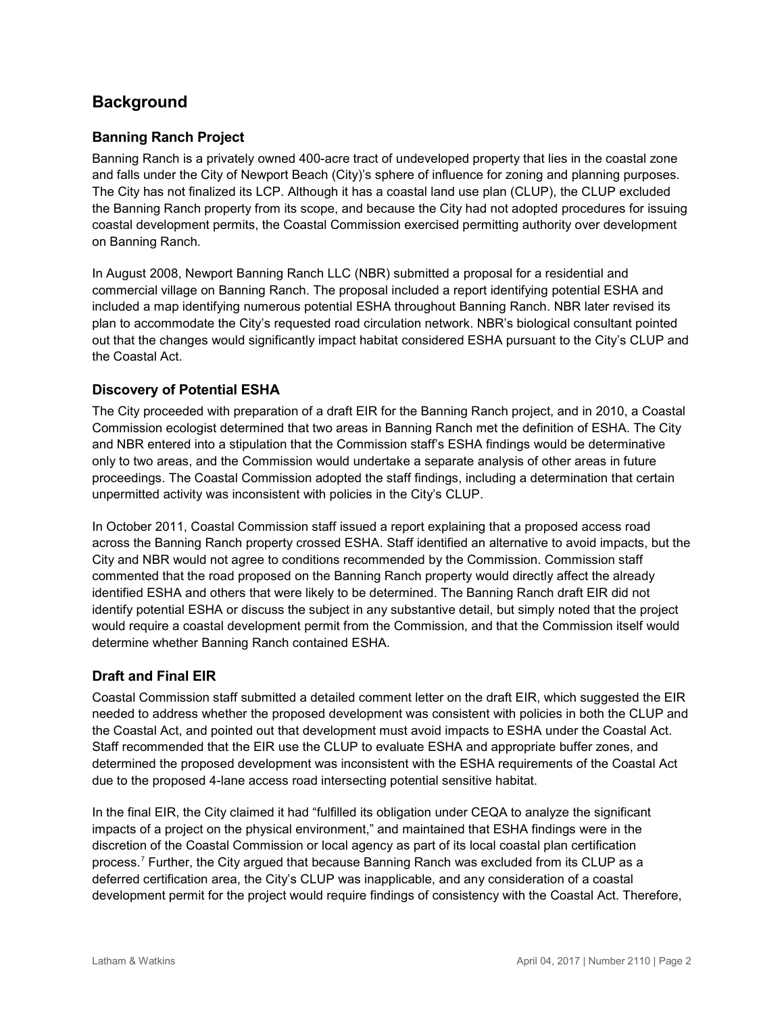# **Background**

## **Banning Ranch Project**

Banning Ranch is a privately owned 400-acre tract of undeveloped property that lies in the coastal zone and falls under the City of Newport Beach (City)'s sphere of influence for zoning and planning purposes. The City has not finalized its LCP. Although it has a coastal land use plan (CLUP), the CLUP excluded the Banning Ranch property from its scope, and because the City had not adopted procedures for issuing coastal development permits, the Coastal Commission exercised permitting authority over development on Banning Ranch.

In August 2008, Newport Banning Ranch LLC (NBR) submitted a proposal for a residential and commercial village on Banning Ranch. The proposal included a report identifying potential ESHA and included a map identifying numerous potential ESHA throughout Banning Ranch. NBR later revised its plan to accommodate the City's requested road circulation network. NBR's biological consultant pointed out that the changes would significantly impact habitat considered ESHA pursuant to the City's CLUP and the Coastal Act.

#### **Discovery of Potential ESHA**

The City proceeded with preparation of a draft EIR for the Banning Ranch project, and in 2010, a Coastal Commission ecologist determined that two areas in Banning Ranch met the definition of ESHA. The City and NBR entered into a stipulation that the Commission staff's ESHA findings would be determinative only to two areas, and the Commission would undertake a separate analysis of other areas in future proceedings. The Coastal Commission adopted the staff findings, including a determination that certain unpermitted activity was inconsistent with policies in the City's CLUP.

In October 2011, Coastal Commission staff issued a report explaining that a proposed access road across the Banning Ranch property crossed ESHA. Staff identified an alternative to avoid impacts, but the City and NBR would not agree to conditions recommended by the Commission. Commission staff commented that the road proposed on the Banning Ranch property would directly affect the already identified ESHA and others that were likely to be determined. The Banning Ranch draft EIR did not identify potential ESHA or discuss the subject in any substantive detail, but simply noted that the project would require a coastal development permit from the Commission, and that the Commission itself would determine whether Banning Ranch contained ESHA.

#### **Draft and Final EIR**

Coastal Commission staff submitted a detailed comment letter on the draft EIR, which suggested the EIR needed to address whether the proposed development was consistent with policies in both the CLUP and the Coastal Act, and pointed out that development must avoid impacts to ESHA under the Coastal Act. Staff recommended that the EIR use the CLUP to evaluate ESHA and appropriate buffer zones, and determined the proposed development was inconsistent with the ESHA requirements of the Coastal Act due to the proposed 4-lane access road intersecting potential sensitive habitat.

In the final EIR, the City claimed it had "fulfilled its obligation under CEQA to analyze the significant impacts of a project on the physical environment," and maintained that ESHA findings were in the discretion of the Coastal Commission or local agency as part of its local coastal plan certification process.[7](#page-5-6) Further, the City argued that because Banning Ranch was excluded from its CLUP as a deferred certification area, the City's CLUP was inapplicable, and any consideration of a coastal development permit for the project would require findings of consistency with the Coastal Act. Therefore,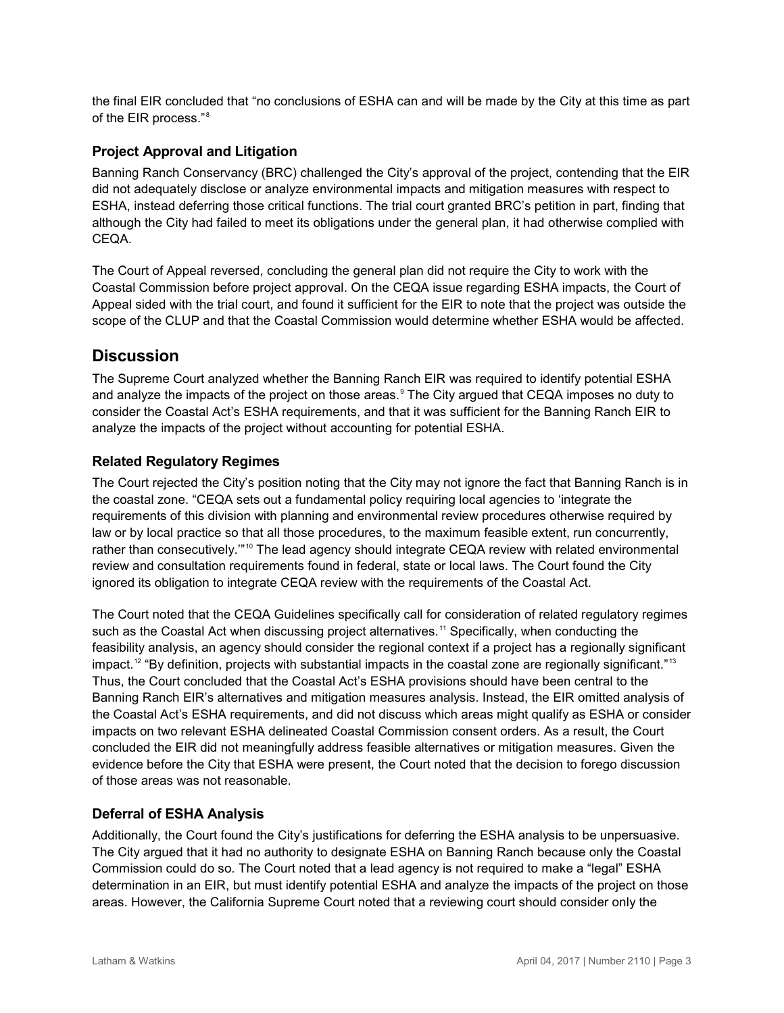the final EIR concluded that "no conclusions of ESHA can and will be made by the City at this time as part of the EIR process."[8](#page-5-7)

### **Project Approval and Litigation**

Banning Ranch Conservancy (BRC) challenged the City's approval of the project, contending that the EIR did not adequately disclose or analyze environmental impacts and mitigation measures with respect to ESHA, instead deferring those critical functions. The trial court granted BRC's petition in part, finding that although the City had failed to meet its obligations under the general plan, it had otherwise complied with CEQA.

The Court of Appeal reversed, concluding the general plan did not require the City to work with the Coastal Commission before project approval. On the CEQA issue regarding ESHA impacts, the Court of Appeal sided with the trial court, and found it sufficient for the EIR to note that the project was outside the scope of the CLUP and that the Coastal Commission would determine whether ESHA would be affected.

# **Discussion**

The Supreme Court analyzed whether the Banning Ranch EIR was required to identify potential ESHA and analyze the impacts of the project on those areas.<sup>[9](#page-5-8)</sup> The City argued that CEQA imposes no duty to consider the Coastal Act's ESHA requirements, and that it was sufficient for the Banning Ranch EIR to analyze the impacts of the project without accounting for potential ESHA.

## **Related Regulatory Regimes**

The Court rejected the City's position noting that the City may not ignore the fact that Banning Ranch is in the coastal zone. "CEQA sets out a fundamental policy requiring local agencies to 'integrate the requirements of this division with planning and environmental review procedures otherwise required by law or by local practice so that all those procedures, to the maximum feasible extent, run concurrently, rather than consecutively."<sup>[10](#page-5-9)</sup> The lead agency should integrate CEQA review with related environmental review and consultation requirements found in federal, state or local laws. The Court found the City ignored its obligation to integrate CEQA review with the requirements of the Coastal Act.

The Court noted that the CEQA Guidelines specifically call for consideration of related regulatory regimes such as the Coastal Act when discussing project alternatives.<sup>[11](#page-5-10)</sup> Specifically, when conducting the feasibility analysis, an agency should consider the regional context if a project has a regionally significant impact. $^{12}$  $^{12}$  $^{12}$  "By definition, projects with substantial impacts in the coastal zone are regionally significant." $^{13}$  $^{13}$  $^{13}$ Thus, the Court concluded that the Coastal Act's ESHA provisions should have been central to the Banning Ranch EIR's alternatives and mitigation measures analysis. Instead, the EIR omitted analysis of the Coastal Act's ESHA requirements, and did not discuss which areas might qualify as ESHA or consider impacts on two relevant ESHA delineated Coastal Commission consent orders. As a result, the Court concluded the EIR did not meaningfully address feasible alternatives or mitigation measures. Given the evidence before the City that ESHA were present, the Court noted that the decision to forego discussion of those areas was not reasonable.

#### **Deferral of ESHA Analysis**

Additionally, the Court found the City's justifications for deferring the ESHA analysis to be unpersuasive. The City argued that it had no authority to designate ESHA on Banning Ranch because only the Coastal Commission could do so. The Court noted that a lead agency is not required to make a "legal" ESHA determination in an EIR, but must identify potential ESHA and analyze the impacts of the project on those areas. However, the California Supreme Court noted that a reviewing court should consider only the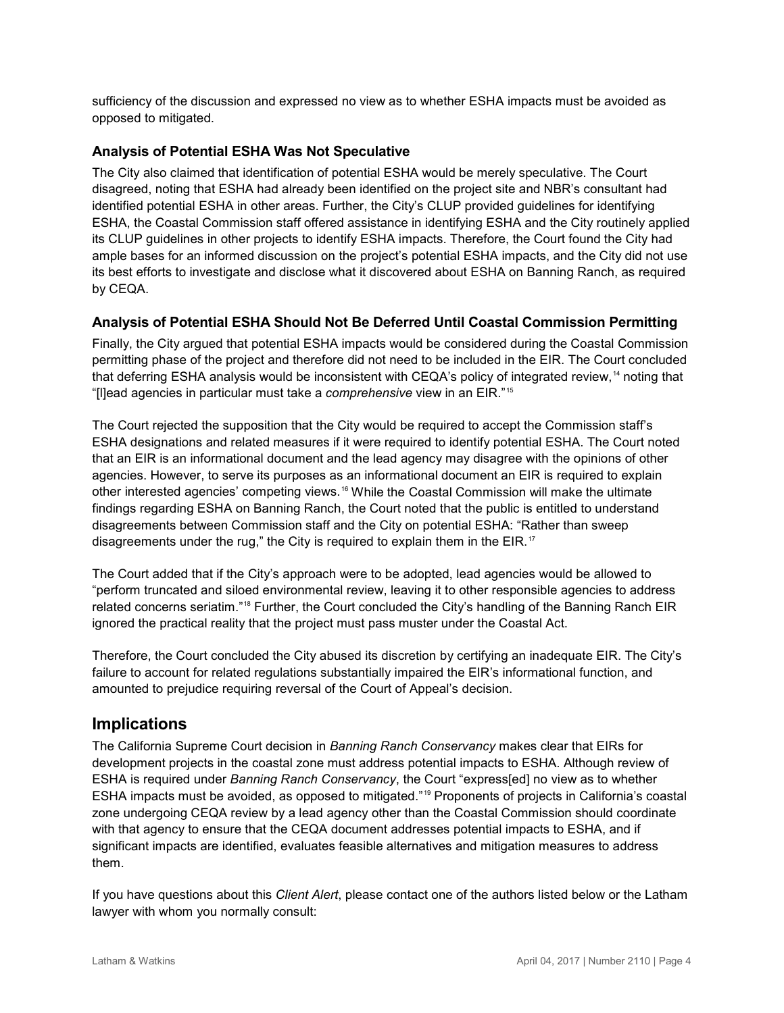sufficiency of the discussion and expressed no view as to whether ESHA impacts must be avoided as opposed to mitigated.

#### **Analysis of Potential ESHA Was Not Speculative**

The City also claimed that identification of potential ESHA would be merely speculative. The Court disagreed, noting that ESHA had already been identified on the project site and NBR's consultant had identified potential ESHA in other areas. Further, the City's CLUP provided guidelines for identifying ESHA, the Coastal Commission staff offered assistance in identifying ESHA and the City routinely applied its CLUP guidelines in other projects to identify ESHA impacts. Therefore, the Court found the City had ample bases for an informed discussion on the project's potential ESHA impacts, and the City did not use its best efforts to investigate and disclose what it discovered about ESHA on Banning Ranch, as required by CEQA.

#### **Analysis of Potential ESHA Should Not Be Deferred Until Coastal Commission Permitting**

Finally, the City argued that potential ESHA impacts would be considered during the Coastal Commission permitting phase of the project and therefore did not need to be included in the EIR. The Court concluded that deferring ESHA analysis would be inconsistent with CEQA's policy of integrated review, [14](#page-5-13) noting that "[l]ead agencies in particular must take a *comprehensive* view in an EIR."[15](#page-5-14)

The Court rejected the supposition that the City would be required to accept the Commission staff's ESHA designations and related measures if it were required to identify potential ESHA. The Court noted that an EIR is an informational document and the lead agency may disagree with the opinions of other agencies. However, to serve its purposes as an informational document an EIR is required to explain other interested agencies' competing views.<sup>[16](#page-5-15)</sup> While the Coastal Commission will make the ultimate findings regarding ESHA on Banning Ranch, the Court noted that the public is entitled to understand disagreements between Commission staff and the City on potential ESHA: "Rather than sweep disagreements under the rug," the City is required to explain them in the EIR.<sup>[17](#page-5-16)</sup>

The Court added that if the City's approach were to be adopted, lead agencies would be allowed to "perform truncated and siloed environmental review, leaving it to other responsible agencies to address related concerns seriatim."[18](#page-5-17) Further, the Court concluded the City's handling of the Banning Ranch EIR ignored the practical reality that the project must pass muster under the Coastal Act.

Therefore, the Court concluded the City abused its discretion by certifying an inadequate EIR. The City's failure to account for related regulations substantially impaired the EIR's informational function, and amounted to prejudice requiring reversal of the Court of Appeal's decision.

# **Implications**

The California Supreme Court decision in *Banning Ranch Conservancy* makes clear that EIRs for development projects in the coastal zone must address potential impacts to ESHA. Although review of ESHA is required under *Banning Ranch Conservancy*, the Court "express[ed] no view as to whether ESHA impacts must be avoided, as opposed to mitigated."[19](#page-5-18) Proponents of projects in California's coastal zone undergoing CEQA review by a lead agency other than the Coastal Commission should coordinate with that agency to ensure that the CEQA document addresses potential impacts to ESHA, and if significant impacts are identified, evaluates feasible alternatives and mitigation measures to address them.

If you have questions about this *Client Alert*, please contact one of the authors listed below or the Latham lawyer with whom you normally consult: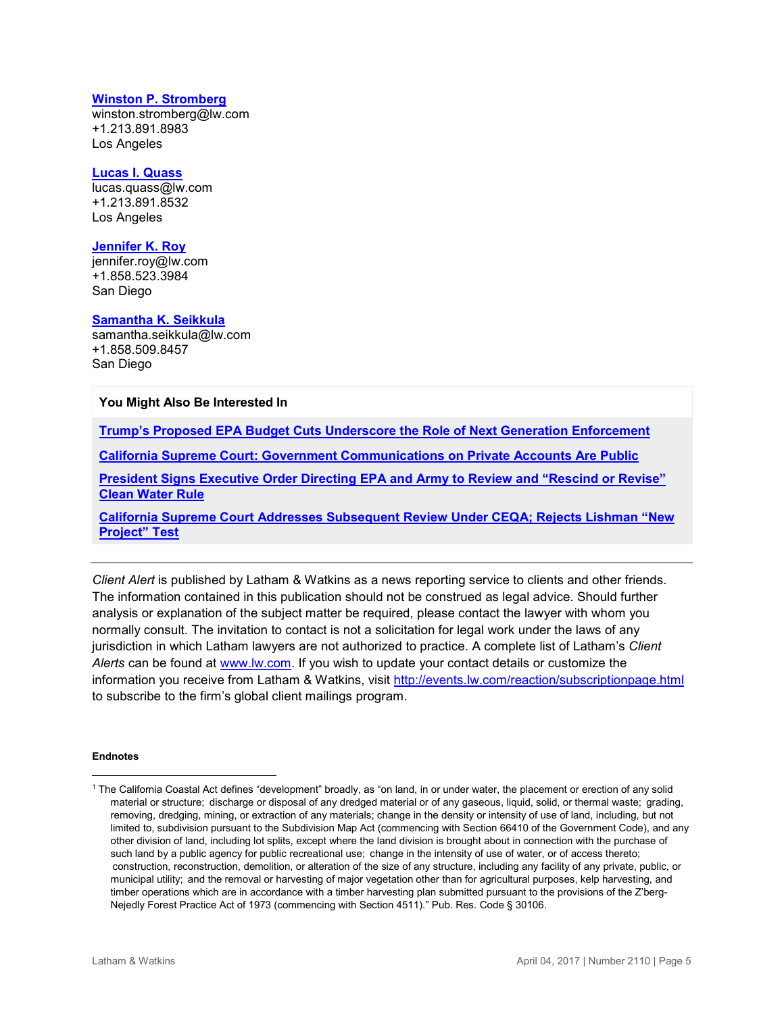#### **[Winston P. Stromberg](https://www.lw.com/people/winston-stromberg)**

[winston.stromberg@lw.com](mailto:winston.stromberg@lw.com) +1.213.891.8983 Los Angeles

#### **[Lucas I. Quass](https://www.lw.com/people/lucas-quass)**

[lucas.quass@lw.com](mailto:lucas.quass@lw.com) +1.213.891.8532 Los Angeles

#### **[Jennifer K. Roy](https://www.lw.com/people/JenniferKRoy)**

[jennifer.roy@lw.com](mailto:jennifer.roy@lw.com) +1.858.523.3984 San Diego

#### **[Samantha K. Seikkula](https://www.lw.com/people/samantha-seikkula)**

[samantha.seikkula@lw.com](mailto:samantha.seikkula@lw.com) +1.858.509.8457 San Diego

#### **You Might Also Be Interested In**

**[Trump's Proposed EPA Budget Cuts Underscore the Role of Next Generation Enforcement](https://www.lw.com/thoughtLeadership/trump-EPA-budget-cuts-role-next-generation-enforcement)**

**[California Supreme Court: Government Communications on Private Accounts Are Public](https://www.lw.com/thoughtLeadership/california-supreme-court-government-communications-on-private-accounts-are-public)**

**[President Signs Executive Order Directing EPA and Army to Review and "Rescind or Revise"](http://www.cleanenergylawreport.com/environmental-and-approvals/president-signs-executive-order-directing-epa-and-army-to-review-and-rescind-or-revise-clean-water-rule/)  [Clean Water Rule](http://www.cleanenergylawreport.com/environmental-and-approvals/president-signs-executive-order-directing-epa-and-army-to-review-and-rescind-or-revise-clean-water-rule/)**

**[California Supreme Court Addresses Subsequent Review Under CEQA; Rejects Lishman "New](http://www.cleanenergylawreport.com/environmental-and-approvals/california-supreme-court-addresses-subsequent-review-under-ceqa-rejects-lishman-new-project-test/)  [Project" Test](http://www.cleanenergylawreport.com/environmental-and-approvals/california-supreme-court-addresses-subsequent-review-under-ceqa-rejects-lishman-new-project-test/)**

*Client Alert* is published by Latham & Watkins as a news reporting service to clients and other friends. The information contained in this publication should not be construed as legal advice. Should further analysis or explanation of the subject matter be required, please contact the lawyer with whom you normally consult. The invitation to contact is not a solicitation for legal work under the laws of any jurisdiction in which Latham lawyers are not authorized to practice. A complete list of Latham's *Client Alerts* can be found at [www.lw.com.](http://www.lw.com/) If you wish to update your contact details or customize the information you receive from Latham & Watkins, visit<http://events.lw.com/reaction/subscriptionpage.html> to subscribe to the firm's global client mailings program.

#### **Endnotes**

 $\overline{a}$ 

<sup>&</sup>lt;sup>1</sup> The California Coastal Act defines "development" broadly, as "on land, in or under water, the placement or erection of any solid material or structure;  discharge or disposal of any dredged material or of any gaseous, liquid, solid, or thermal waste;  grading, removing, dredging, mining, or extraction of any materials; change in the density or intensity of use of land, including, but not limited to, subdivision pursuant to the Subdivision Map Act (commencing with Section 66410 of the Government Code), and any other division of land, including lot splits, except where the land division is brought about in connection with the purchase of such land by a public agency for public recreational use; change in the intensity of use of water, or of access thereto; construction, reconstruction, demolition, or alteration of the size of any structure, including any facility of any private, public, or municipal utility;  and the removal or harvesting of major vegetation other than for agricultural purposes, kelp harvesting, and timber operations which are in accordance with a timber harvesting plan submitted pursuant to the provisions of the Z'berg-Nejedly Forest Practice Act of 1973 (commencing with Section 4511)." Pub. Res. Code § 30106.